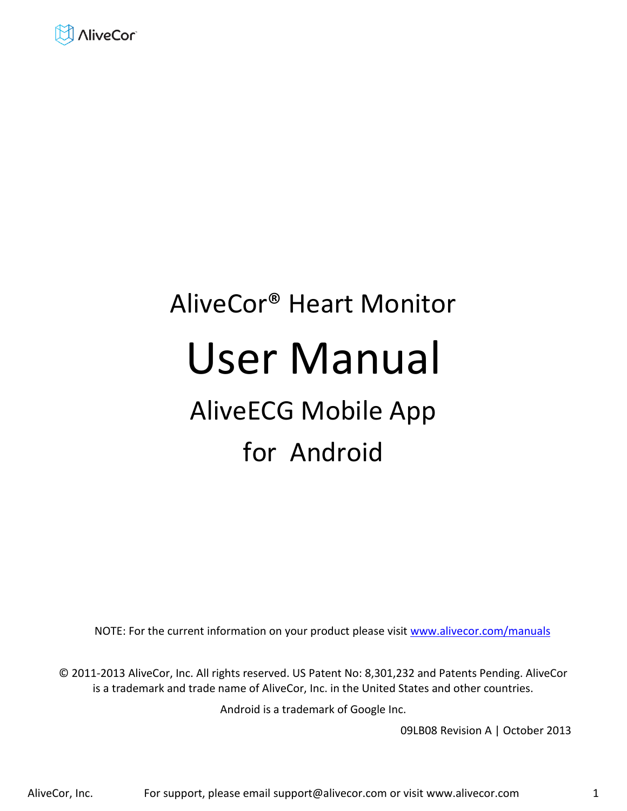

# AliveCor® Heart Monitor User Manual AliveECG Mobile App

## for Android

NOTE: For the current information on your product please visit www.alivecor.com/manuals

© 2011-2013 AliveCor, Inc. All rights reserved. US Patent No: 8,301,232 and Patents Pending. AliveCor is a trademark and trade name of AliveCor, Inc. in the United States and other countries.

Android is a trademark of Google Inc.

09LB08 Revision A | October 2013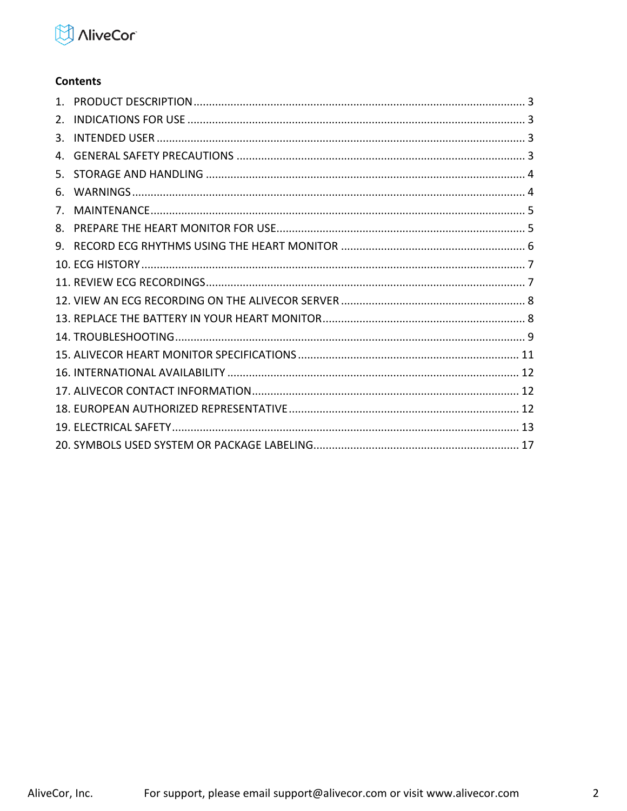

#### **Contents**

| 2. |  |
|----|--|
| 3. |  |
| 4. |  |
| 5. |  |
| 6. |  |
| 7. |  |
| 8. |  |
|    |  |
|    |  |
|    |  |
|    |  |
|    |  |
|    |  |
|    |  |
|    |  |
|    |  |
|    |  |
|    |  |
|    |  |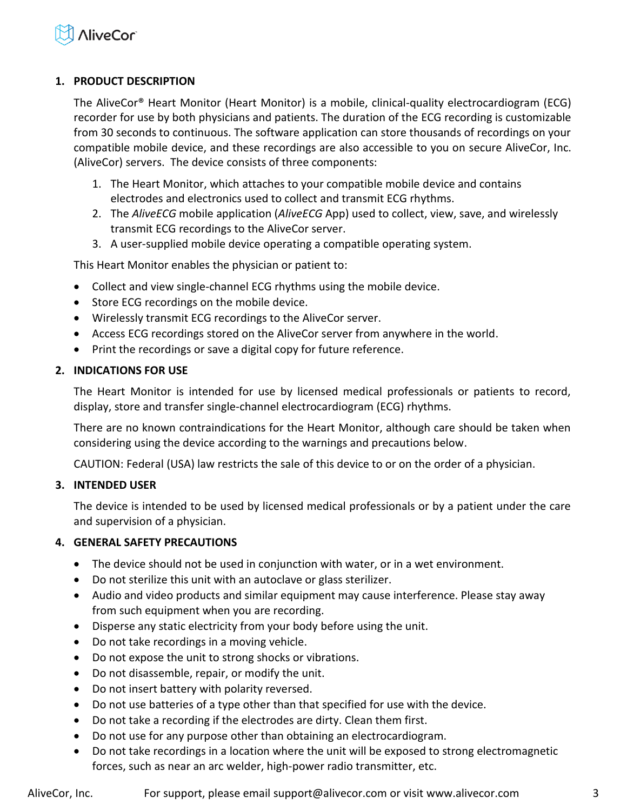

#### <span id="page-2-0"></span>**1. PRODUCT DESCRIPTION**

The AliveCor® Heart Monitor (Heart Monitor) is a mobile, clinical-quality electrocardiogram (ECG) recorder for use by both physicians and patients. The duration of the ECG recording is customizable from 30 seconds to continuous. The software application can store thousands of recordings on your compatible mobile device, and these recordings are also accessible to you on secure AliveCor, Inc. (AliveCor) servers. The device consists of three components:

- 1. The Heart Monitor, which attaches to your compatible mobile device and contains electrodes and electronics used to collect and transmit ECG rhythms.
- 2. The *AliveECG* mobile application (*AliveECG* App) used to collect, view, save, and wirelessly transmit ECG recordings to the AliveCor server.
- 3. A user-supplied mobile device operating a compatible operating system.

This Heart Monitor enables the physician or patient to:

- Collect and view single-channel ECG rhythms using the mobile device.
- Store ECG recordings on the mobile device.
- Wirelessly transmit ECG recordings to the AliveCor server.
- Access ECG recordings stored on the AliveCor server from anywhere in the world.
- Print the recordings or save a digital copy for future reference.

#### <span id="page-2-1"></span>**2. INDICATIONS FOR USE**

The Heart Monitor is intended for use by licensed medical professionals or patients to record, display, store and transfer single-channel electrocardiogram (ECG) rhythms.

There are no known contraindications for the Heart Monitor, although care should be taken when considering using the device according to the warnings and precautions below.

CAUTION: Federal (USA) law restricts the sale of this device to or on the order of a physician.

#### <span id="page-2-2"></span>**3. INTENDED USER**

The device is intended to be used by licensed medical professionals or by a patient under the care and supervision of a physician.

#### <span id="page-2-3"></span>**4. GENERAL SAFETY PRECAUTIONS**

- The device should not be used in conjunction with water, or in a wet environment.
- Do not sterilize this unit with an autoclave or glass sterilizer.
- Audio and video products and similar equipment may cause interference. Please stay away from such equipment when you are recording.
- Disperse any static electricity from your body before using the unit.
- Do not take recordings in a moving vehicle.
- Do not expose the unit to strong shocks or vibrations.
- Do not disassemble, repair, or modify the unit.
- Do not insert battery with polarity reversed.
- Do not use batteries of a type other than that specified for use with the device.
- Do not take a recording if the electrodes are dirty. Clean them first.
- Do not use for any purpose other than obtaining an electrocardiogram.
- Do not take recordings in a location where the unit will be exposed to strong electromagnetic forces, such as near an arc welder, high-power radio transmitter, etc.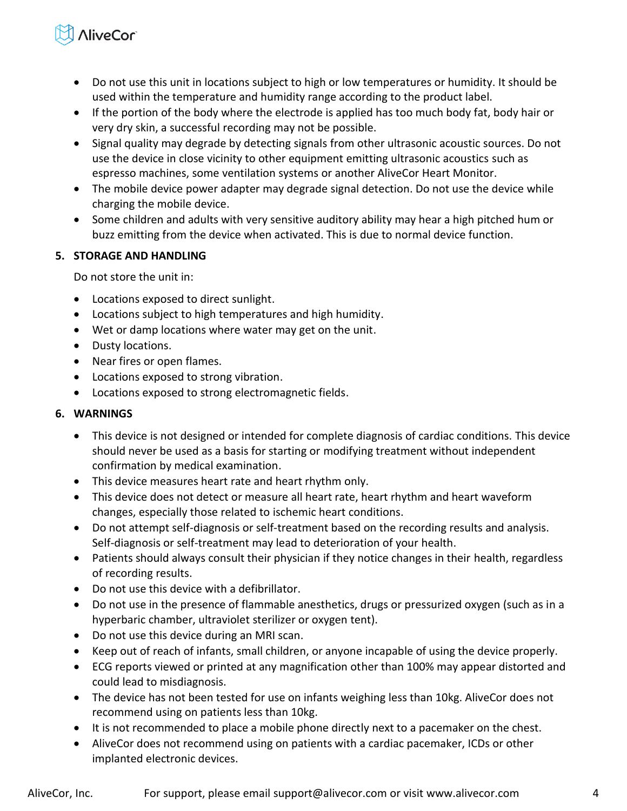## **NiveCor**

- Do not use this unit in locations subject to high or low temperatures or humidity. It should be used within the temperature and humidity range according to the product label.
- If the portion of the body where the electrode is applied has too much body fat, body hair or very dry skin, a successful recording may not be possible.
- Signal quality may degrade by detecting signals from other ultrasonic acoustic sources. Do not use the device in close vicinity to other equipment emitting ultrasonic acoustics such as espresso machines, some ventilation systems or another AliveCor Heart Monitor.
- The mobile device power adapter may degrade signal detection. Do not use the device while charging the mobile device.
- Some children and adults with very sensitive auditory ability may hear a high pitched hum or buzz emitting from the device when activated. This is due to normal device function.

#### <span id="page-3-0"></span>**5. STORAGE AND HANDLING**

Do not store the unit in:

- Locations exposed to direct sunlight.
- Locations subject to high temperatures and high humidity.
- Wet or damp locations where water may get on the unit.
- Dusty locations.
- Near fires or open flames.
- Locations exposed to strong vibration.
- Locations exposed to strong electromagnetic fields.

#### <span id="page-3-1"></span>**6. WARNINGS**

- This device is not designed or intended for complete diagnosis of cardiac conditions. This device should never be used as a basis for starting or modifying treatment without independent confirmation by medical examination.
- This device measures heart rate and heart rhythm only.
- This device does not detect or measure all heart rate, heart rhythm and heart waveform changes, especially those related to ischemic heart conditions.
- Do not attempt self-diagnosis or self-treatment based on the recording results and analysis. Self-diagnosis or self-treatment may lead to deterioration of your health.
- Patients should always consult their physician if they notice changes in their health, regardless of recording results.
- Do not use this device with a defibrillator.
- Do not use in the presence of flammable anesthetics, drugs or pressurized oxygen (such as in a hyperbaric chamber, ultraviolet sterilizer or oxygen tent).
- Do not use this device during an MRI scan.
- Keep out of reach of infants, small children, or anyone incapable of using the device properly.
- ECG reports viewed or printed at any magnification other than 100% may appear distorted and could lead to misdiagnosis.
- The device has not been tested for use on infants weighing less than 10kg. AliveCor does not recommend using on patients less than 10kg.
- It is not recommended to place a mobile phone directly next to a pacemaker on the chest.
- AliveCor does not recommend using on patients with a cardiac pacemaker, ICDs or other implanted electronic devices.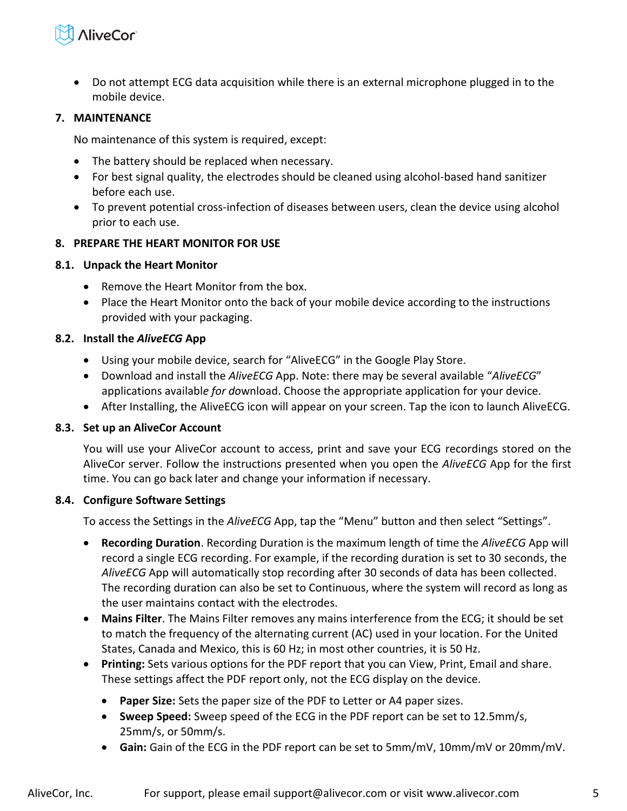

 Do not attempt ECG data acquisition while there is an external microphone plugged in to the mobile device.

#### <span id="page-4-0"></span>**7. MAINTENANCE**

No maintenance of this system is required, except:

- The battery should be replaced when necessary.
- For best signal quality, the electrodes should be cleaned using alcohol-based hand sanitizer before each use.
- To prevent potential cross-infection of diseases between users, clean the device using alcohol prior to each use.

#### <span id="page-4-1"></span>**8. PREPARE THE HEART MONITOR FOR USE**

#### **8.1. Unpack the Heart Monitor**

- Remove the Heart Monitor from the box.
- Place the Heart Monitor onto the back of your mobile device according to the instructions provided with your packaging.

#### **8.2. Install the** *AliveECG* **App**

- Using your mobile device, search for "AliveECG" in the Google Play Store.
- Download and install the *AliveECG* App. Note: there may be several available "AliveECG" applications availabl*e for do*wnload. Choose the appropriate application for your device.
- After Installing, the AliveECG icon will appear on your screen. Tap the icon to launch AliveECG.

#### **8.3. Set up an AliveCor Account**

You will use your AliveCor account to access, print and save your ECG recordings stored on the AliveCor server. Follow the instructions presented when you open the *AliveECG* App for the first time. You can go back later and change your information if necessary.

#### **8.4. Configure Software Settings**

To access the Settings in the *AliveECG* App, tap the "Menu" button and then select "Settings".

- **Recording Duration**. Recording Duration is the maximum length of time the *AliveECG* App will record a single ECG recording. For example, if the recording duration is set to 30 seconds, the *AliveECG* App will automatically stop recording after 30 seconds of data has been collected. The recording duration can also be set to Continuous, where the system will record as long as the user maintains contact with the electrodes.
- **Mains Filter**. The Mains Filter removes any mains interference from the ECG; it should be set to match the frequency of the alternating current (AC) used in your location. For the United States, Canada and Mexico, this is 60 Hz; in most other countries, it is 50 Hz.
- **Printing:** Sets various options for the PDF report that you can View, Print, Email and share. These settings affect the PDF report only, not the ECG display on the device.
	- **Paper Size:** Sets the paper size of the PDF to Letter or A4 paper sizes.
	- **Sweep Speed:** Sweep speed of the ECG in the PDF report can be set to 12.5mm/s, 25mm/s, or 50mm/s.
	- **Gain:** Gain of the ECG in the PDF report can be set to 5mm/mV, 10mm/mV or 20mm/mV.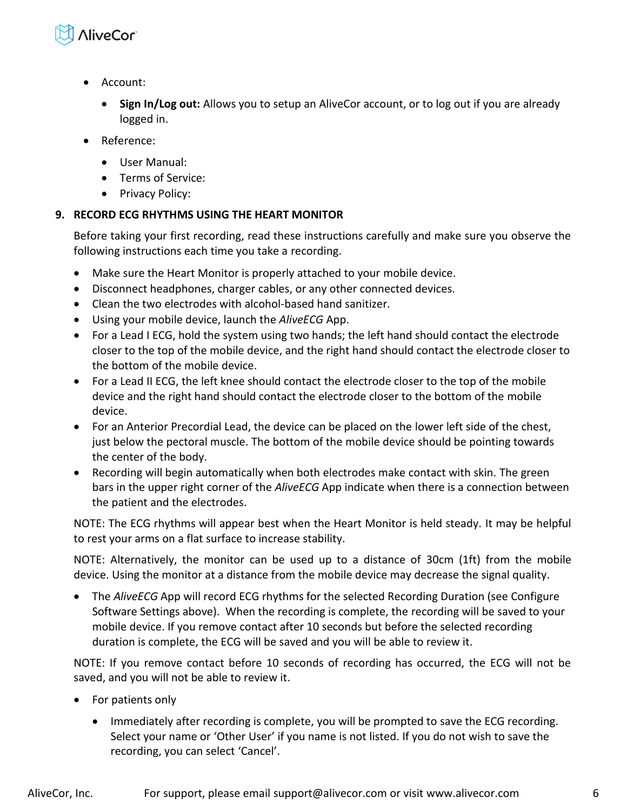

- Account:
	- **Sign In/Log out:** Allows you to setup an AliveCor account, or to log out if you are already logged in.
- Reference:
	- User Manual:
	- Terms of Service:
	- Privacy Policy:

#### <span id="page-5-0"></span>**9. RECORD ECG RHYTHMS USING THE HEART MONITOR**

Before taking your first recording, read these instructions carefully and make sure you observe the following instructions each time you take a recording.

- Make sure the Heart Monitor is properly attached to your mobile device.
- Disconnect headphones, charger cables, or any other connected devices.
- Clean the two electrodes with alcohol-based hand sanitizer.
- Using your mobile device, launch the *AliveECG* App.
- For a Lead I ECG, hold the system using two hands; the left hand should contact the electrode closer to the top of the mobile device, and the right hand should contact the electrode closer to the bottom of the mobile device.
- For a Lead II ECG, the left knee should contact the electrode closer to the top of the mobile device and the right hand should contact the electrode closer to the bottom of the mobile device.
- For an Anterior Precordial Lead, the device can be placed on the lower left side of the chest, just below the pectoral muscle. The bottom of the mobile device should be pointing towards the center of the body.
- Recording will begin automatically when both electrodes make contact with skin. The green bars in the upper right corner of the *AliveECG* App indicate when there is a connection between the patient and the electrodes.

NOTE: The ECG rhythms will appear best when the Heart Monitor is held steady. It may be helpful to rest your arms on a flat surface to increase stability.

NOTE: Alternatively, the monitor can be used up to a distance of 30cm (1ft) from the mobile device. Using the monitor at a distance from the mobile device may decrease the signal quality.

 The *AliveECG* App will record ECG rhythms for the selected Recording Duration (see Configure Software Settings above). When the recording is complete, the recording will be saved to your mobile device. If you remove contact after 10 seconds but before the selected recording duration is complete, the ECG will be saved and you will be able to review it.

NOTE: If you remove contact before 10 seconds of recording has occurred, the ECG will not be saved, and you will not be able to review it.

- For patients only
	- Immediately after recording is complete, you will be prompted to save the ECG recording. Select your name or 'Other User' if you name is not listed. If you do not wish to save the recording, you can select 'Cancel'.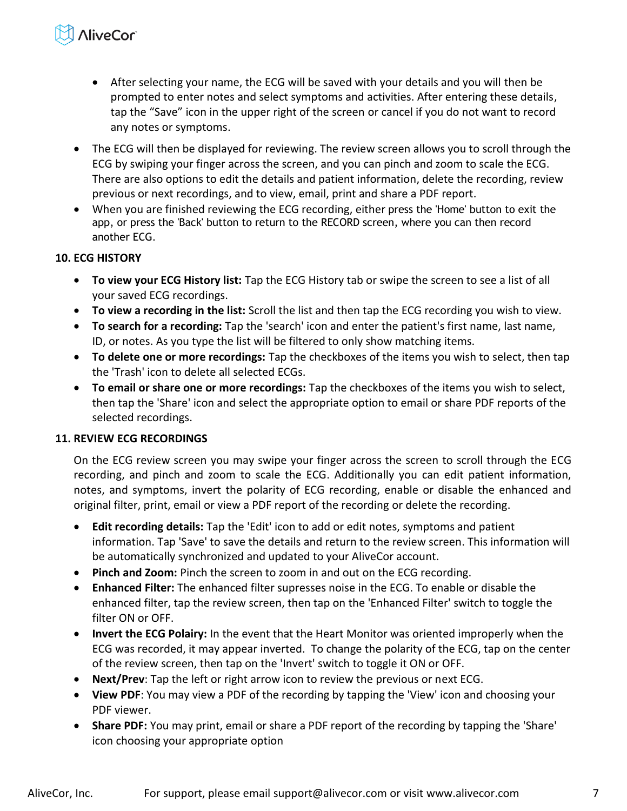## **NiveCor**

- After selecting your name, the ECG will be saved with your details and you will then be prompted to enter notes and select symptoms and activities. After entering these details, tap the "Save" icon in the upper right of the screen or cancel if you do not want to record any notes or symptoms.
- The ECG will then be displayed for reviewing. The review screen allows you to scroll through the ECG by swiping your finger across the screen, and you can pinch and zoom to scale the ECG. There are also options to edit the details and patient information, delete the recording, review previous or next recordings, and to view, email, print and share a PDF report.
- When you are finished reviewing the ECG recording, either press the 'Home' button to exit the app, or press the 'Back' button to return to the RECORD screen, where you can then record another ECG.

#### <span id="page-6-0"></span>**10. ECG HISTORY**

- **To view your ECG History list:** Tap the ECG History tab or swipe the screen to see a list of all your saved ECG recordings.
- **To view a recording in the list:** Scroll the list and then tap the ECG recording you wish to view.
- **To search for a recording:** Tap the 'search' icon and enter the patient's first name, last name, ID, or notes. As you type the list will be filtered to only show matching items.
- **To delete one or more recordings:** Tap the checkboxes of the items you wish to select, then tap the 'Trash' icon to delete all selected ECGs.
- **To email or share one or more recordings:** Tap the checkboxes of the items you wish to select, then tap the 'Share' icon and select the appropriate option to email or share PDF reports of the selected recordings.

#### <span id="page-6-1"></span>**11. REVIEW ECG RECORDINGS**

On the ECG review screen you may swipe your finger across the screen to scroll through the ECG recording, and pinch and zoom to scale the ECG. Additionally you can edit patient information, notes, and symptoms, invert the polarity of ECG recording, enable or disable the enhanced and original filter, print, email or view a PDF report of the recording or delete the recording.

- **Edit recording details:** Tap the 'Edit' icon to add or edit notes, symptoms and patient information. Tap 'Save' to save the details and return to the review screen. This information will be automatically synchronized and updated to your AliveCor account.
- **Pinch and Zoom:** Pinch the screen to zoom in and out on the ECG recording.
- **Enhanced Filter:** The enhanced filter supresses noise in the ECG. To enable or disable the enhanced filter, tap the review screen, then tap on the 'Enhanced Filter' switch to toggle the filter ON or OFF.
- **Invert the ECG Polairy:** In the event that the Heart Monitor was oriented improperly when the ECG was recorded, it may appear inverted. To change the polarity of the ECG, tap on the center of the review screen, then tap on the 'Invert' switch to toggle it ON or OFF.
- **Next/Prev**: Tap the left or right arrow icon to review the previous or next ECG.
- **View PDF**: You may view a PDF of the recording by tapping the 'View' icon and choosing your PDF viewer.
- **Share PDF:** You may print, email or share a PDF report of the recording by tapping the 'Share' icon choosing your appropriate option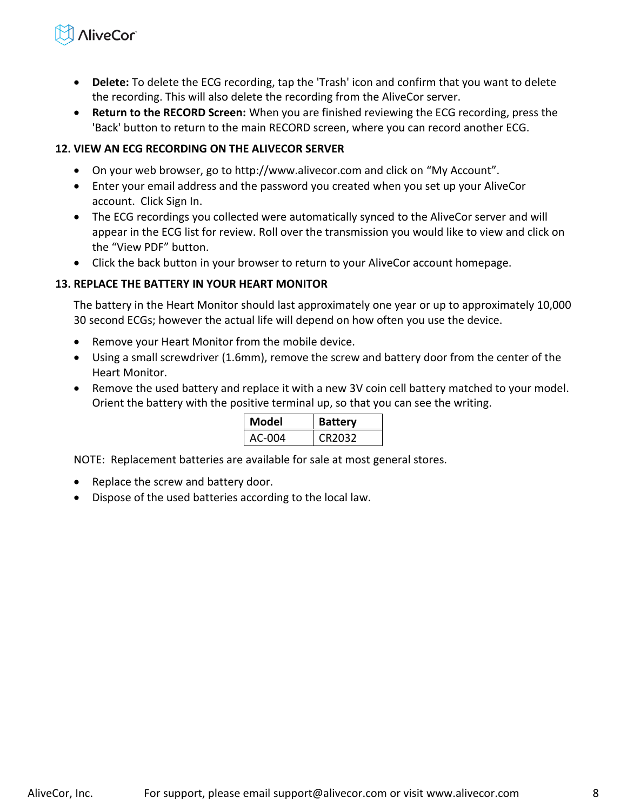## **NiveCor**

- **Delete:** To delete the ECG recording, tap the 'Trash' icon and confirm that you want to delete the recording. This will also delete the recording from the AliveCor server.
- **Return to the RECORD Screen:** When you are finished reviewing the ECG recording, press the 'Back' button to return to the main RECORD screen, where you can record another ECG.

#### <span id="page-7-0"></span>**12. VIEW AN ECG RECORDING ON THE ALIVECOR SERVER**

- On your web browser, go to http://www.alivecor.com and click on "My Account".
- Enter your email address and the password you created when you set up your AliveCor account. Click Sign In.
- The ECG recordings you collected were automatically synced to the AliveCor server and will appear in the ECG list for review. Roll over the transmission you would like to view and click on the "View PDF" button.
- Click the back button in your browser to return to your AliveCor account homepage.

#### <span id="page-7-1"></span>**13. REPLACE THE BATTERY IN YOUR HEART MONITOR**

The battery in the Heart Monitor should last approximately one year or up to approximately 10,000 30 second ECGs; however the actual life will depend on how often you use the device.

- Remove your Heart Monitor from the mobile device.
- Using a small screwdriver (1.6mm), remove the screw and battery door from the center of the Heart Monitor.
- Remove the used battery and replace it with a new 3V coin cell battery matched to your model. Orient the battery with the positive terminal up, so that you can see the writing.

| Model  | <b>Battery</b> |
|--------|----------------|
| AC-004 | CR2032         |

NOTE: Replacement batteries are available for sale at most general stores.

- Replace the screw and battery door.
- Dispose of the used batteries according to the local law.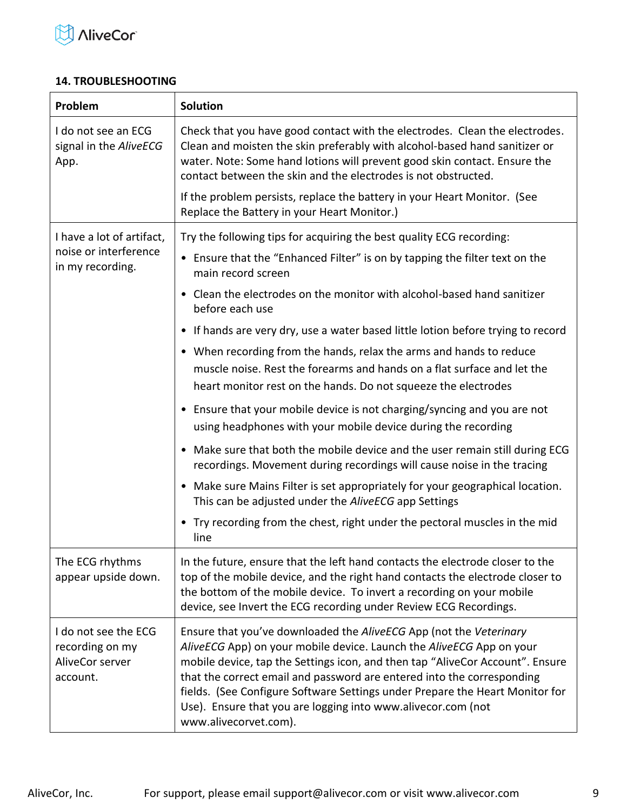

#### <span id="page-8-0"></span>**14. TROUBLESHOOTING**

| Problem                                                                | <b>Solution</b>                                                                                                                                                                                                                                                                                                                                                                                                                                                                |  |  |
|------------------------------------------------------------------------|--------------------------------------------------------------------------------------------------------------------------------------------------------------------------------------------------------------------------------------------------------------------------------------------------------------------------------------------------------------------------------------------------------------------------------------------------------------------------------|--|--|
| I do not see an ECG<br>signal in the AliveECG<br>App.                  | Check that you have good contact with the electrodes. Clean the electrodes.<br>Clean and moisten the skin preferably with alcohol-based hand sanitizer or<br>water. Note: Some hand lotions will prevent good skin contact. Ensure the<br>contact between the skin and the electrodes is not obstructed.                                                                                                                                                                       |  |  |
|                                                                        | If the problem persists, replace the battery in your Heart Monitor. (See<br>Replace the Battery in your Heart Monitor.)                                                                                                                                                                                                                                                                                                                                                        |  |  |
| I have a lot of artifact,                                              | Try the following tips for acquiring the best quality ECG recording:                                                                                                                                                                                                                                                                                                                                                                                                           |  |  |
| noise or interference<br>in my recording.                              | • Ensure that the "Enhanced Filter" is on by tapping the filter text on the<br>main record screen                                                                                                                                                                                                                                                                                                                                                                              |  |  |
|                                                                        | • Clean the electrodes on the monitor with alcohol-based hand sanitizer<br>before each use                                                                                                                                                                                                                                                                                                                                                                                     |  |  |
|                                                                        | • If hands are very dry, use a water based little lotion before trying to record                                                                                                                                                                                                                                                                                                                                                                                               |  |  |
|                                                                        | • When recording from the hands, relax the arms and hands to reduce<br>muscle noise. Rest the forearms and hands on a flat surface and let the<br>heart monitor rest on the hands. Do not squeeze the electrodes                                                                                                                                                                                                                                                               |  |  |
|                                                                        | • Ensure that your mobile device is not charging/syncing and you are not<br>using headphones with your mobile device during the recording                                                                                                                                                                                                                                                                                                                                      |  |  |
|                                                                        | • Make sure that both the mobile device and the user remain still during ECG<br>recordings. Movement during recordings will cause noise in the tracing                                                                                                                                                                                                                                                                                                                         |  |  |
|                                                                        | • Make sure Mains Filter is set appropriately for your geographical location.<br>This can be adjusted under the AliveECG app Settings                                                                                                                                                                                                                                                                                                                                          |  |  |
|                                                                        | • Try recording from the chest, right under the pectoral muscles in the mid<br>line                                                                                                                                                                                                                                                                                                                                                                                            |  |  |
| The ECG rhythms<br>appear upside down.                                 | In the future, ensure that the left hand contacts the electrode closer to the<br>top of the mobile device, and the right hand contacts the electrode closer to<br>the bottom of the mobile device. To invert a recording on your mobile<br>device, see Invert the ECG recording under Review ECG Recordings.                                                                                                                                                                   |  |  |
| I do not see the ECG<br>recording on my<br>AliveCor server<br>account. | Ensure that you've downloaded the AliveECG App (not the Veterinary<br>AliveECG App) on your mobile device. Launch the AliveECG App on your<br>mobile device, tap the Settings icon, and then tap "AliveCor Account". Ensure<br>that the correct email and password are entered into the corresponding<br>fields. (See Configure Software Settings under Prepare the Heart Monitor for<br>Use). Ensure that you are logging into www.alivecor.com (not<br>www.alivecorvet.com). |  |  |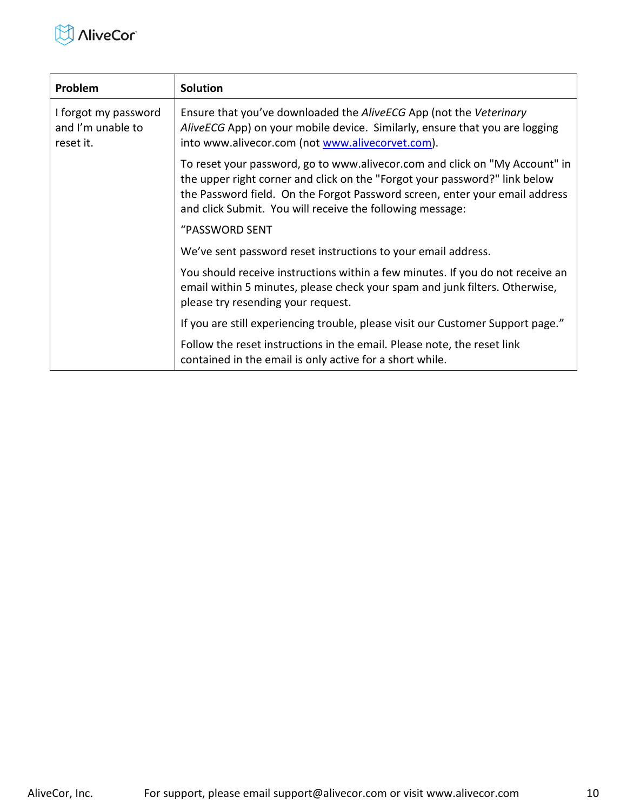

| Problem                                                | <b>Solution</b>                                                                                                                                                                                                                                                                                       |
|--------------------------------------------------------|-------------------------------------------------------------------------------------------------------------------------------------------------------------------------------------------------------------------------------------------------------------------------------------------------------|
| I forgot my password<br>and I'm unable to<br>reset it. | Ensure that you've downloaded the AliveECG App (not the Veterinary<br>AliveECG App) on your mobile device. Similarly, ensure that you are logging<br>into www.alivecor.com (not www.alivecorvet.com).                                                                                                 |
|                                                        | To reset your password, go to www.alivecor.com and click on "My Account" in<br>the upper right corner and click on the "Forgot your password?" link below<br>the Password field. On the Forgot Password screen, enter your email address<br>and click Submit. You will receive the following message: |
|                                                        | "PASSWORD SENT                                                                                                                                                                                                                                                                                        |
|                                                        | We've sent password reset instructions to your email address.                                                                                                                                                                                                                                         |
|                                                        | You should receive instructions within a few minutes. If you do not receive an<br>email within 5 minutes, please check your spam and junk filters. Otherwise,<br>please try resending your request.                                                                                                   |
|                                                        | If you are still experiencing trouble, please visit our Customer Support page."                                                                                                                                                                                                                       |
|                                                        | Follow the reset instructions in the email. Please note, the reset link<br>contained in the email is only active for a short while.                                                                                                                                                                   |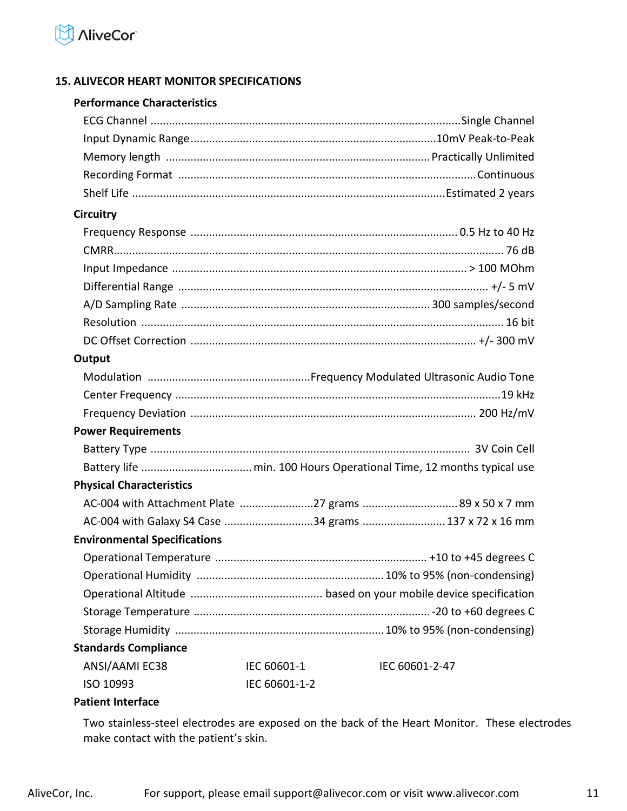

#### <span id="page-10-0"></span>**15. ALIVECOR HEART MONITOR SPECIFICATIONS**

#### **Performance Characteristics**

| <b>Circuitry</b>                    |               |                                                      |
|-------------------------------------|---------------|------------------------------------------------------|
|                                     |               |                                                      |
|                                     |               |                                                      |
|                                     |               |                                                      |
|                                     |               |                                                      |
|                                     |               |                                                      |
|                                     |               |                                                      |
|                                     |               |                                                      |
| Output                              |               |                                                      |
|                                     |               |                                                      |
|                                     |               |                                                      |
|                                     |               |                                                      |
| <b>Power Requirements</b>           |               |                                                      |
|                                     |               |                                                      |
|                                     |               |                                                      |
| <b>Physical Characteristics</b>     |               |                                                      |
|                                     |               | AC-004 with Attachment Plate 27 grams 89 x 50 x 7 mm |
|                                     |               | AC-004 with Galaxy S4 Case 34 grams 137 x 72 x 16 mm |
| <b>Environmental Specifications</b> |               |                                                      |
|                                     |               |                                                      |
|                                     |               |                                                      |
|                                     |               |                                                      |
|                                     |               |                                                      |
|                                     |               |                                                      |
| <b>Standards Compliance</b>         |               |                                                      |
| ANSI/AAMI EC38                      | IEC 60601-1   | IEC 60601-2-47                                       |
| ISO 10993                           | IEC 60601-1-2 |                                                      |
| <b>Patient Interface</b>            |               |                                                      |

Two stainless-steel electrodes are exposed on the back of the Heart Monitor. These electrodes make contact with the patient's skin.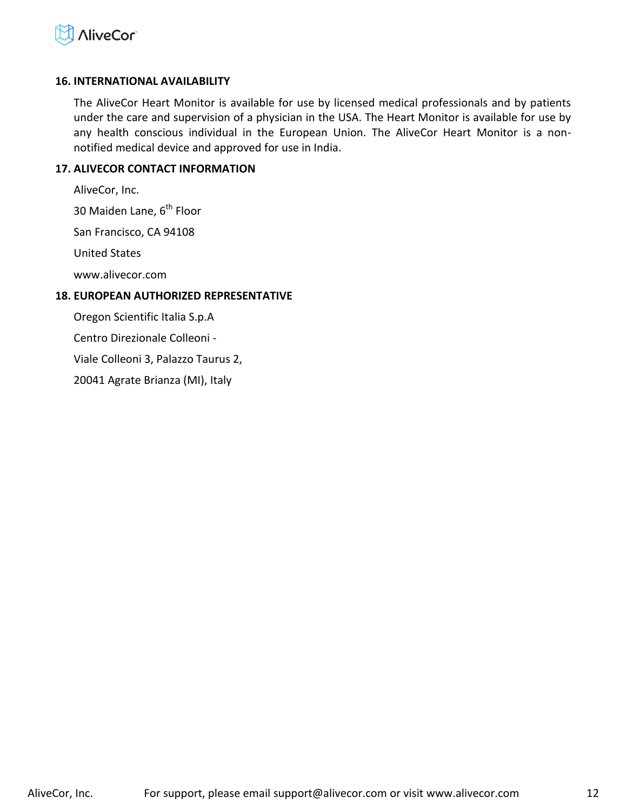

#### <span id="page-11-0"></span>**16. INTERNATIONAL AVAILABILITY**

The AliveCor Heart Monitor is available for use by licensed medical professionals and by patients under the care and supervision of a physician in the USA. The Heart Monitor is available for use by any health conscious individual in the European Union. The AliveCor Heart Monitor is a nonnotified medical device and approved for use in India.

#### <span id="page-11-1"></span>**17. ALIVECOR CONTACT INFORMATION**

AliveCor, Inc.

30 Maiden Lane, 6<sup>th</sup> Floor

San Francisco, CA 94108

United States

www.alivecor.com

#### <span id="page-11-2"></span>**18. EUROPEAN AUTHORIZED REPRESENTATIVE**

Oregon Scientific Italia S.p.A

Centro Direzionale Colleoni -

Viale Colleoni 3, Palazzo Taurus 2,

20041 Agrate Brianza (MI), Italy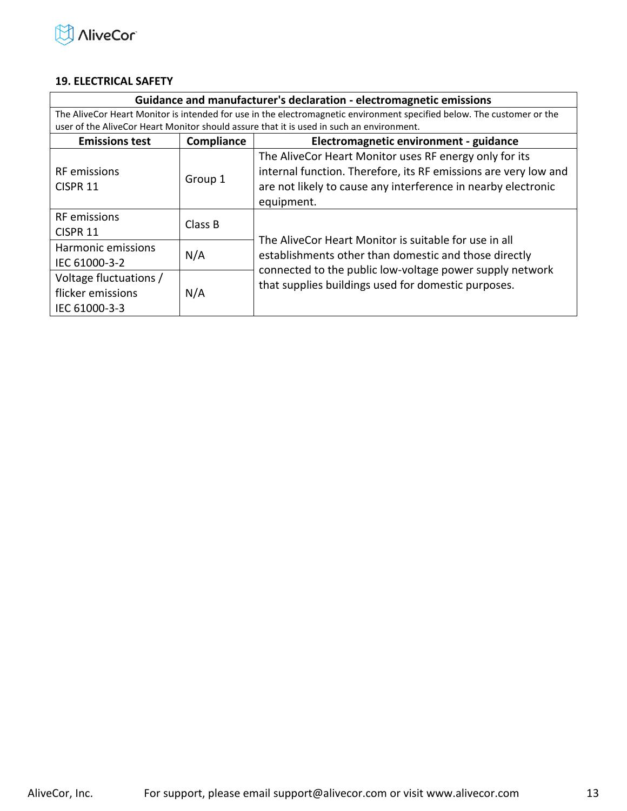

#### <span id="page-12-0"></span>**19. ELECTRICAL SAFETY**

| Guidance and manufacturer's declaration - electromagnetic emissions                                                    |                                                                                          |                                                                 |  |  |
|------------------------------------------------------------------------------------------------------------------------|------------------------------------------------------------------------------------------|-----------------------------------------------------------------|--|--|
| The AliveCor Heart Monitor is intended for use in the electromagnetic environment specified below. The customer or the |                                                                                          |                                                                 |  |  |
|                                                                                                                        | user of the AliveCor Heart Monitor should assure that it is used in such an environment. |                                                                 |  |  |
| <b>Emissions test</b>                                                                                                  | Electromagnetic environment - guidance<br>Compliance                                     |                                                                 |  |  |
|                                                                                                                        |                                                                                          | The AliveCor Heart Monitor uses RF energy only for its          |  |  |
| <b>RF</b> emissions                                                                                                    | Group 1                                                                                  | internal function. Therefore, its RF emissions are very low and |  |  |
| CISPR <sub>11</sub>                                                                                                    |                                                                                          | are not likely to cause any interference in nearby electronic   |  |  |
|                                                                                                                        |                                                                                          | equipment.                                                      |  |  |
| <b>RF</b> emissions                                                                                                    |                                                                                          |                                                                 |  |  |
| CISPR 11                                                                                                               | Class B                                                                                  | The AliveCor Heart Monitor is suitable for use in all           |  |  |
| Harmonic emissions                                                                                                     |                                                                                          |                                                                 |  |  |
| N/A<br>IEC 61000-3-2                                                                                                   |                                                                                          | establishments other than domestic and those directly           |  |  |
| Voltage fluctuations /<br>flicker emissions<br>N/A<br>IEC 61000-3-3                                                    |                                                                                          | connected to the public low-voltage power supply network        |  |  |
|                                                                                                                        |                                                                                          | that supplies buildings used for domestic purposes.             |  |  |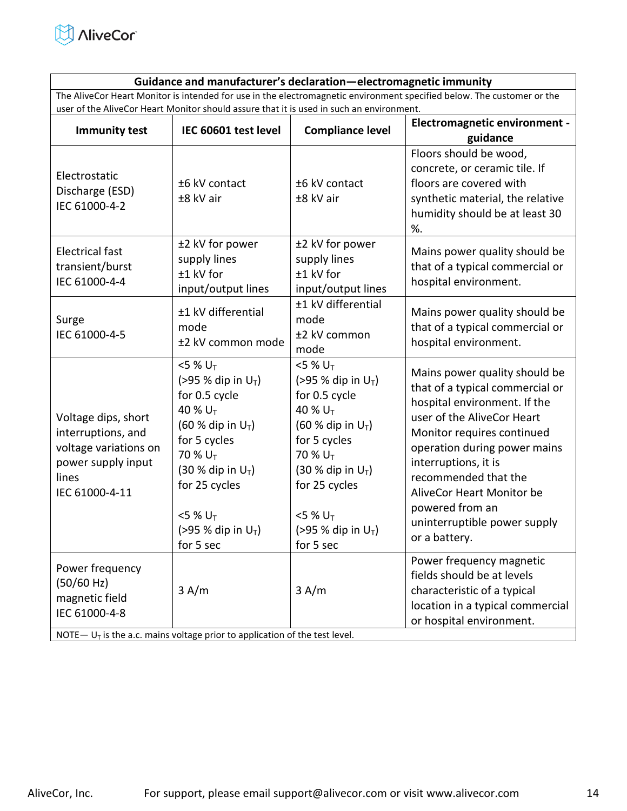

#### **Guidance and manufacturer's declaration—electromagnetic immunity**

The AliveCor Heart Monitor is intended for use in the electromagnetic environment specified below. The customer or the user of the AliveCor Heart Monitor should assure that it is used in such an environment.

| <b>Immunity test</b>                                                                                                | IEC 60601 test level                                                                                                                                                                                                                                              | <b>Compliance level</b>                                                                                                                                                                                                                     | <b>Electromagnetic environment -</b><br>guidance                                                                                                                                                                                                                                                                                              |
|---------------------------------------------------------------------------------------------------------------------|-------------------------------------------------------------------------------------------------------------------------------------------------------------------------------------------------------------------------------------------------------------------|---------------------------------------------------------------------------------------------------------------------------------------------------------------------------------------------------------------------------------------------|-----------------------------------------------------------------------------------------------------------------------------------------------------------------------------------------------------------------------------------------------------------------------------------------------------------------------------------------------|
| Electrostatic<br>Discharge (ESD)<br>IEC 61000-4-2                                                                   | ±6 kV contact<br>±8 kV air                                                                                                                                                                                                                                        | ±6 kV contact<br>±8 kV air                                                                                                                                                                                                                  | Floors should be wood,<br>concrete, or ceramic tile. If<br>floors are covered with<br>synthetic material, the relative<br>humidity should be at least 30<br>%.                                                                                                                                                                                |
| <b>Electrical fast</b><br>transient/burst<br>IEC 61000-4-4                                                          | ±2 kV for power<br>supply lines<br>±1 kV for<br>input/output lines                                                                                                                                                                                                | ±2 kV for power<br>supply lines<br>±1 kV for<br>input/output lines                                                                                                                                                                          | Mains power quality should be<br>that of a typical commercial or<br>hospital environment.                                                                                                                                                                                                                                                     |
| Surge<br>IEC 61000-4-5                                                                                              | ±1 kV differential<br>mode<br>±2 kV common mode                                                                                                                                                                                                                   | ±1 kV differential<br>mode<br>±2 kV common<br>mode                                                                                                                                                                                          | Mains power quality should be<br>that of a typical commercial or<br>hospital environment.                                                                                                                                                                                                                                                     |
| Voltage dips, short<br>interruptions, and<br>voltage variations on<br>power supply input<br>lines<br>IEC 61000-4-11 | $<$ 5 % U <sub>T</sub><br>(>95 % dip in $U_T$ )<br>for 0.5 cycle<br>40 % U <sub>T</sub><br>(60 % dip in $U_T$ )<br>for 5 cycles<br>70 % U <sub>T</sub><br>$(30 %$ dip in $U_T$ )<br>for 25 cycles<br>$<$ 5 % U <sub>T</sub><br>(>95 % dip in $U_T$ )<br>for 5 sec | $5%U_T$<br>(>95 % dip in $U_T$ )<br>for 0.5 cycle<br>40 % $U_T$<br>$(60 %$ dip in $U_T$ )<br>for 5 cycles<br>70 % U <sub>T</sub><br>$(30 %$ dip in $U_T$ )<br>for 25 cycles<br>$<$ 5 % U <sub>T</sub><br>(>95 % dip in $U_T$ )<br>for 5 sec | Mains power quality should be<br>that of a typical commercial or<br>hospital environment. If the<br>user of the AliveCor Heart<br>Monitor requires continued<br>operation during power mains<br>interruptions, it is<br>recommended that the<br>AliveCor Heart Monitor be<br>powered from an<br>uninterruptible power supply<br>or a battery. |
| Power frequency<br>(50/60 Hz)<br>magnetic field<br>IEC 61000-4-8                                                    | 3 A/m<br>NOTE $-U_T$ is the a.c. mains voltage prior to application of the test level.                                                                                                                                                                            | 3 A/m                                                                                                                                                                                                                                       | Power frequency magnetic<br>fields should be at levels<br>characteristic of a typical<br>location in a typical commercial<br>or hospital environment.                                                                                                                                                                                         |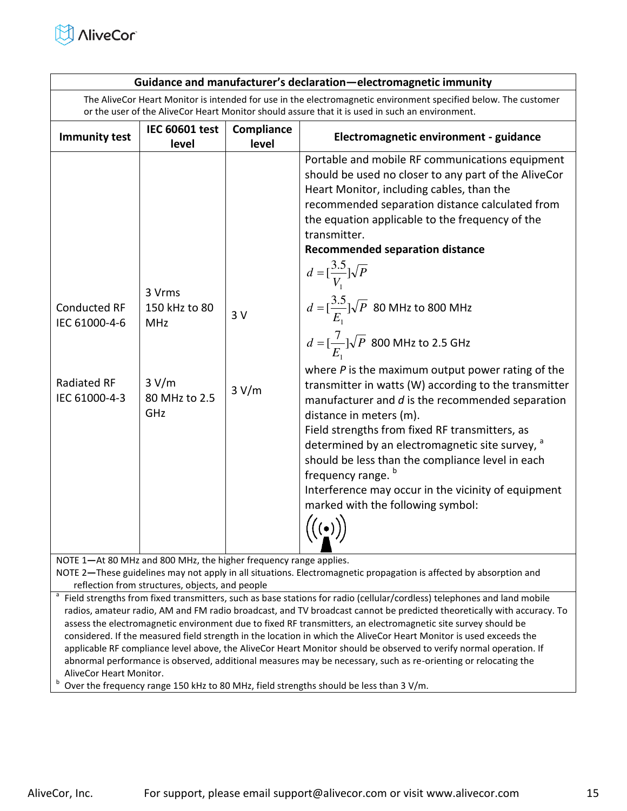

| Guidance and manufacturer's declaration-electromagnetic immunity                                                                                                                                                                                                                                                                                                                                                                                                                                                                                                                                                                                                                                                                                                                                                                                                                                                                                                                                                                                                                                                                                                                                                                                                                                                                                                                 |                                |                     |                                                                                                 |
|----------------------------------------------------------------------------------------------------------------------------------------------------------------------------------------------------------------------------------------------------------------------------------------------------------------------------------------------------------------------------------------------------------------------------------------------------------------------------------------------------------------------------------------------------------------------------------------------------------------------------------------------------------------------------------------------------------------------------------------------------------------------------------------------------------------------------------------------------------------------------------------------------------------------------------------------------------------------------------------------------------------------------------------------------------------------------------------------------------------------------------------------------------------------------------------------------------------------------------------------------------------------------------------------------------------------------------------------------------------------------------|--------------------------------|---------------------|-------------------------------------------------------------------------------------------------|
| The AliveCor Heart Monitor is intended for use in the electromagnetic environment specified below. The customer                                                                                                                                                                                                                                                                                                                                                                                                                                                                                                                                                                                                                                                                                                                                                                                                                                                                                                                                                                                                                                                                                                                                                                                                                                                                  |                                |                     |                                                                                                 |
|                                                                                                                                                                                                                                                                                                                                                                                                                                                                                                                                                                                                                                                                                                                                                                                                                                                                                                                                                                                                                                                                                                                                                                                                                                                                                                                                                                                  |                                |                     | or the user of the AliveCor Heart Monitor should assure that it is used in such an environment. |
| <b>Immunity test</b>                                                                                                                                                                                                                                                                                                                                                                                                                                                                                                                                                                                                                                                                                                                                                                                                                                                                                                                                                                                                                                                                                                                                                                                                                                                                                                                                                             | <b>IEC 60601 test</b><br>level | Compliance<br>level | Electromagnetic environment - guidance                                                          |
| Portable and mobile RF communications equipment<br>should be used no closer to any part of the AliveCor<br>Heart Monitor, including cables, than the<br>recommended separation distance calculated from<br>the equation applicable to the frequency of the<br>transmitter.<br><b>Recommended separation distance</b><br>$d = \left[\frac{3.5}{V_1}\right] \sqrt{P}$<br>3 Vrms<br>$d = \left[\frac{3.5}{E_1}\right] \sqrt{P}$ 80 MHz to 800 MHz<br><b>Conducted RF</b><br>150 kHz to 80<br>3V<br>IEC 61000-4-6<br><b>MHz</b><br>$d = [\frac{7}{E_1}]\sqrt{P}$ 800 MHz to 2.5 GHz<br>where $P$ is the maximum output power rating of the<br>Radiated RF<br>3 V/m<br>transmitter in watts (W) according to the transmitter<br>3 V/m<br>IEC 61000-4-3<br>80 MHz to 2.5<br>manufacturer and $d$ is the recommended separation<br>GHz<br>distance in meters (m).<br>Field strengths from fixed RF transmitters, as<br>determined by an electromagnetic site survey, a<br>should be less than the compliance level in each<br>frequency range. <sup>b</sup><br>Interference may occur in the vicinity of equipment<br>marked with the following symbol:<br>$\big((\underline{\bullet})\big)$<br>NOTE 1-At 80 MHz and 800 MHz, the higher frequency range applies.<br>NOTE 2-These guidelines may not apply in all situations. Electromagnetic propagation is affected by absorption and |                                |                     |                                                                                                 |
|                                                                                                                                                                                                                                                                                                                                                                                                                                                                                                                                                                                                                                                                                                                                                                                                                                                                                                                                                                                                                                                                                                                                                                                                                                                                                                                                                                                  |                                |                     |                                                                                                 |
| reflection from structures, objects, and people                                                                                                                                                                                                                                                                                                                                                                                                                                                                                                                                                                                                                                                                                                                                                                                                                                                                                                                                                                                                                                                                                                                                                                                                                                                                                                                                  |                                |                     |                                                                                                 |
| <sup>a</sup> Field strengths from fixed transmitters, such as base stations for radio (cellular/cordless) telephones and land mobile                                                                                                                                                                                                                                                                                                                                                                                                                                                                                                                                                                                                                                                                                                                                                                                                                                                                                                                                                                                                                                                                                                                                                                                                                                             |                                |                     |                                                                                                 |

radios, amateur radio, AM and FM radio broadcast, and TV broadcast cannot be predicted theoretically with accuracy. To assess the electromagnetic environment due to fixed RF transmitters, an electromagnetic site survey should be considered. If the measured field strength in the location in which the AliveCor Heart Monitor is used exceeds the applicable RF compliance level above, the AliveCor Heart Monitor should be observed to verify normal operation. If abnormal performance is observed, additional measures may be necessary, such as re-orienting or relocating the AliveCor Heart Monitor.

b Over the frequency range 150 kHz to 80 MHz, field strengths should be less than 3 V/m.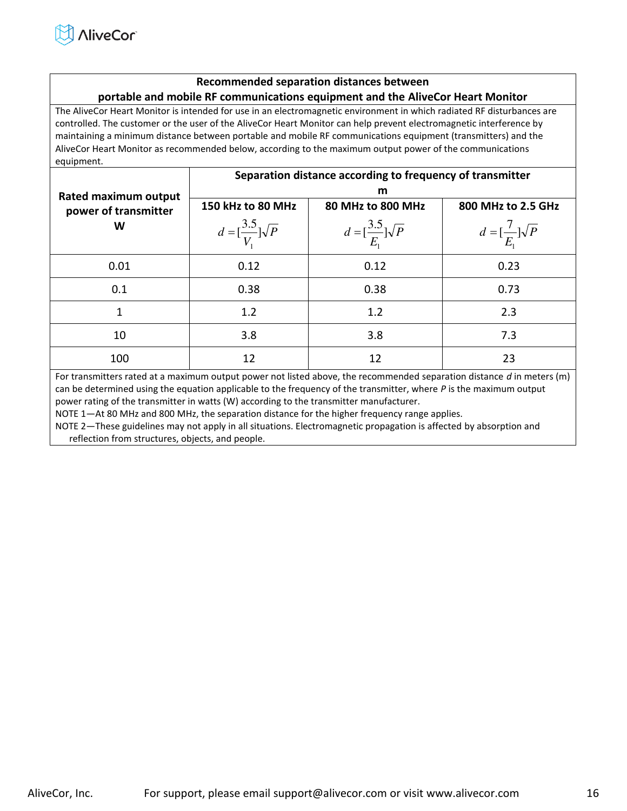#### **Recommended separation distances between portable and mobile RF communications equipment and the AliveCor Heart Monitor**

The AliveCor Heart Monitor is intended for use in an electromagnetic environment in which radiated RF disturbances are controlled. The customer or the user of the AliveCor Heart Monitor can help prevent electromagnetic interference by maintaining a minimum distance between portable and mobile RF communications equipment (transmitters) and the AliveCor Heart Monitor as recommended below, according to the maximum output power of the communications equipment.

|                             | Separation distance according to frequency of transmitter |                                           |                                         |  |  |
|-----------------------------|-----------------------------------------------------------|-------------------------------------------|-----------------------------------------|--|--|
| <b>Rated maximum output</b> | m                                                         |                                           |                                         |  |  |
| power of transmitter        | 150 kHz to 80 MHz                                         | 80 MHz to 800 MHz                         | 800 MHz to 2.5 GHz                      |  |  |
| W                           | $d = \left[\frac{3.5}{V}\right] \sqrt{P}$                 | $d = \left[\frac{3.5}{E}\right] \sqrt{P}$ | $d = \left[\frac{7}{E}\right] \sqrt{P}$ |  |  |
| 0.01                        | 0.12                                                      | 0.12                                      | 0.23                                    |  |  |
| 0.1                         | 0.38                                                      | 0.38                                      | 0.73                                    |  |  |
| 1                           | 1.2                                                       | 1.2                                       | 2.3                                     |  |  |
| 10                          | 3.8                                                       | 3.8                                       | 7.3                                     |  |  |
| 100                         | 12                                                        | 12                                        | 23                                      |  |  |

For transmitters rated at a maximum output power not listed above, the recommended separation distance *d* in meters (m) can be determined using the equation applicable to the frequency of the transmitter, where *P* is the maximum output power rating of the transmitter in watts (W) according to the transmitter manufacturer.

NOTE 1—At 80 MHz and 800 MHz, the separation distance for the higher frequency range applies.

NOTE 2—These guidelines may not apply in all situations. Electromagnetic propagation is affected by absorption and reflection from structures, objects, and people.